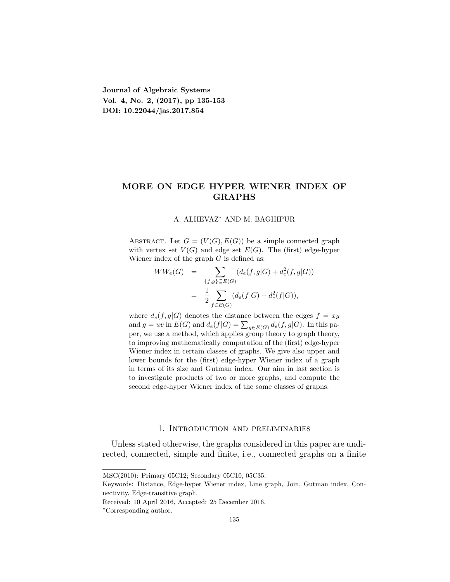**Journal of Algebraic Systems Vol. 4, No. 2, (2017), pp 135-153 DOI: 10.22044/jas.2017.854**

# **MORE ON EDGE HYPER WIENER INDEX OF GRAPHS**

#### A. ALHEVAZ*<sup>∗</sup>* AND M. BAGHIPUR

ABSTRACT. Let  $G = (V(G), E(G))$  be a simple connected graph with vertex set  $V(G)$  and edge set  $E(G)$ . The (first) edge-hyper Wiener index of the graph *G* is defined as:

$$
WW_e(G) = \sum_{\{f,g\} \subseteq E(G)} (d_e(f,g|G) + d_e^2(f,g|G))
$$
  
= 
$$
\frac{1}{2} \sum_{f \in E(G)} (d_e(f|G) + d_e^2(f|G)),
$$

where  $d_e(f, g|G)$  denotes the distance between the edges  $f = xy$ and  $g = uv$  in  $E(G)$  and  $d_e(f|G) = \sum_{g \in E(G)} d_e(f,g|G)$ . In this paper, we use a method, which applies group theory to graph theory, to improving mathematically computation of the (first) edge-hyper Wiener index in certain classes of graphs. We give also upper and lower bounds for the (first) edge-hyper Wiener index of a graph in terms of its size and Gutman index. Our aim in last section is to investigate products of two or more graphs, and compute the second edge-hyper Wiener index of the some classes of graphs.

# 1. Introduction and preliminaries

Unless stated otherwise, the graphs considered in this paper are undirected, connected, simple and finite, i.e., connected graphs on a finite

MSC(2010): Primary 05C12; Secondary 05C10, 05C35.

Keywords: Distance, Edge-hyper Wiener index, Line graph, Join, Gutman index, Connectivity, Edge-transitive graph.

Received: 10 April 2016, Accepted: 25 December 2016.

*<sup>∗</sup>*Corresponding author.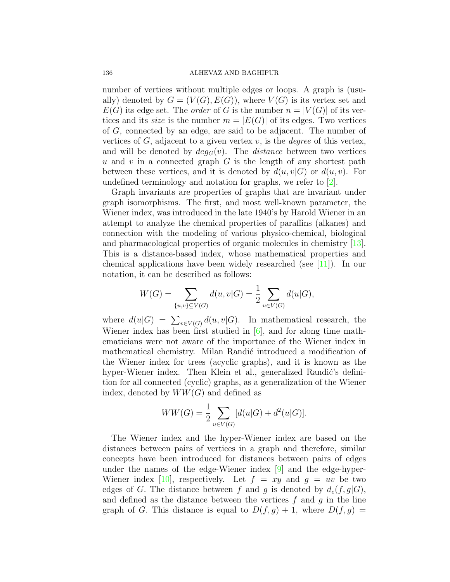#### 136 ALHEVAZ AND BAGHIPUR

number of vertices without multiple edges or loops. A graph is (usually) denoted by  $G = (V(G), E(G))$ , where  $V(G)$  is its vertex set and  $E(G)$  its edge set. The *order* of *G* is the number  $n = |V(G)|$  of its vertices and its *size* is the number  $m = |E(G)|$  of its edges. Two vertices of *G*, connected by an edge, are said to be adjacent. The number of vertices of *G*, adjacent to a given vertex *v*, is the *degree* of this vertex, and will be denoted by  $deg_G(v)$ . The *distance* between two vertices *u* and *v* in a connected graph *G* is the length of any shortest path between these vertices, and it is denoted by  $d(u, v|G)$  or  $d(u, v)$ . For undefined terminology and notation for graphs, we refer to[[2\]](#page-17-0).

Graph invariants are properties of graphs that are invariant under graph isomorphisms. The first, and most well-known parameter, the Wiener index, was introduced in the late 1940's by Harold Wiener in an attempt to analyze the chemical properties of paraffins (alkanes) and connection with the modeling of various physico-chemical, biological and pharmacological properties of organic molecules in chemistry[[13\]](#page-18-0). This is a distance-based index, whose mathematical properties and chemical applications have been widely researched (see[[11](#page-18-1)]). In our notation, it can be described as follows:

$$
W(G) = \sum_{\{u,v\} \subseteq V(G)} d(u,v|G) = \frac{1}{2} \sum_{u \in V(G)} d(u|G),
$$

where  $d(u|G) = \sum_{v \in V(G)} d(u,v|G)$ . In mathematical research, the Wiener index has been first studied in [\[6](#page-18-2)], and for along time mathematicians were not aware of the importance of the Wiener index in mathematical chemistry. Milan Randić introduced a modification of the Wiener index for trees (acyclic graphs), and it is known as the hyper-Wiener index. Then Klein et al., generalized Randić's definition for all connected (cyclic) graphs, as a generalization of the Wiener index, denoted by  $WW(G)$  and defined as

$$
WW(G) = \frac{1}{2} \sum_{u \in V(G)} [d(u|G) + d^{2}(u|G)].
$$

The Wiener index and the hyper-Wiener index are based on the distances between pairs of vertices in a graph and therefore, similar concepts have been introduced for distances between pairs of edges under the names of the edge-Wiener index [\[9](#page-18-3)] and the edge-hyper-Wiener index [\[10\]](#page-18-4), respectively. Let  $f = xy$  and  $g = uv$  be two edges of *G*. The distance between *f* and *q* is denoted by  $d_e(f, q|G)$ , and defined as the distance between the vertices *f* and *g* in the line graph of *G*. This distance is equal to  $D(f, g) + 1$ , where  $D(f, g) =$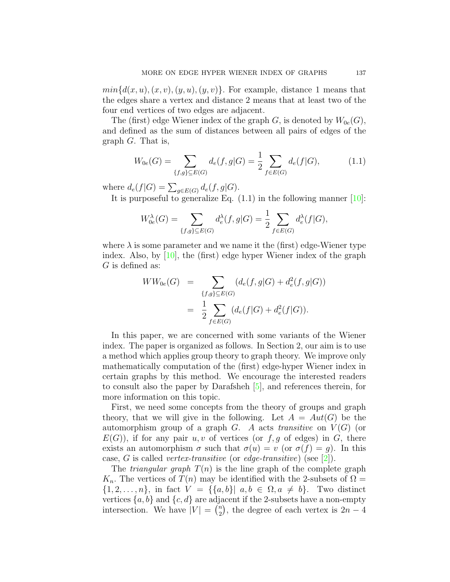$min{d(x, u), (x, v), (y, u), (y, v)}$ . For example, distance 1 means that the edges share a vertex and distance 2 means that at least two of the four end vertices of two edges are adjacent.

The (first) edge Wiener index of the graph  $G$ , is denoted by  $W_{0e}(G)$ , and defined as the sum of distances between all pairs of edges of the graph *G*. That is,

$$
W_{0e}(G) = \sum_{\{f,g\} \subseteq E(G)} d_e(f,g|G) = \frac{1}{2} \sum_{f \in E(G)} d_e(f|G), \tag{1.1}
$$

where  $d_e(f|G) = \sum_{g \in E(G)} d_e(f,g|G)$ .

Itis purposeful to generalize Eq.  $(1.1)$  in the following manner  $[10]$  $[10]$ :

$$
W_{0e}^{\lambda}(G) = \sum_{\{f,g\} \subseteq E(G)} d_e^{\lambda}(f,g|G) = \frac{1}{2} \sum_{f \in E(G)} d_e^{\lambda}(f|G),
$$

where  $\lambda$  is some parameter and we name it the (first) edge-Wiener type index. Also, by[[10\]](#page-18-4), the (first) edge hyper Wiener index of the graph *G* is defined as:

$$
WW_{0e}(G) = \sum_{\{f,g\} \subseteq E(G)} (d_e(f,g|G) + d_e^2(f,g|G))
$$
  
= 
$$
\frac{1}{2} \sum_{f \in E(G)} (d_e(f|G) + d_e^2(f|G)).
$$

In this paper, we are concerned with some variants of the Wiener index. The paper is organized as follows. In Section 2, our aim is to use a method which applies group theory to graph theory. We improve only mathematically computation of the (first) edge-hyper Wiener index in certain graphs by this method. We encourage the interested readers to consult also the paper by Darafsheh [\[5](#page-18-5)], and references therein, for more information on this topic.

First, we need some concepts from the theory of groups and graph theory, that we will give in the following. Let  $A = Aut(G)$  be the automorphism group of a graph *G*. *A* acts *transitive* on  $V(G)$  (or  $E(G)$ , if for any pair  $u, v$  of vertices (or  $f, g$  of edges) in  $G$ , there exists an automorphism  $\sigma$  such that  $\sigma(u) = v$  (or  $\sigma(f) = g$ ). In this case, *G* is called *vertex-transitive* (or *edge-transitive*) (see [\[2](#page-17-0)]).

The *triangular graph*  $T(n)$  is the line graph of the complete graph  $K_n$ . The vertices of  $T(n)$  may be identified with the 2-subsets of  $\Omega =$  $\{1, 2, \ldots, n\}$ , in fact  $V = \{\{a, b\} | a, b \in \Omega, a \neq b\}$ . Two distinct vertices  $\{a, b\}$  and  $\{c, d\}$  are adjacent if the 2-subsets have a non-empty intersection. We have  $|V| = \binom{n}{2}$  $\binom{n}{2}$ , the degree of each vertex is  $2n-4$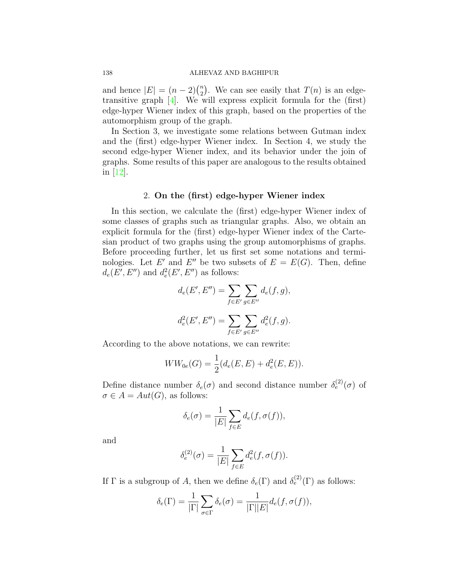## 138 ALHEVAZ AND BAGHIPUR

and hence  $|E| = (n-2)\binom{n}{2}$  $\binom{n}{2}$ . We can see easily that  $T(n)$  is an edgetransitivegraph  $[4]$  $[4]$ . We will express explicit formula for the  $(first)$ edge-hyper Wiener index of this graph, based on the properties of the automorphism group of the graph.

In Section 3, we investigate some relations between Gutman index and the (first) edge-hyper Wiener index. In Section 4, we study the second edge-hyper Wiener index, and its behavior under the join of graphs. Some results of this paper are analogous to the results obtained in [\[12](#page-18-6)].

## 2. **On the (first) edge-hyper Wiener index**

In this section, we calculate the (first) edge-hyper Wiener index of some classes of graphs such as triangular graphs. Also, we obtain an explicit formula for the (first) edge-hyper Wiener index of the Cartesian product of two graphs using the group automorphisms of graphs. Before proceeding further, let us first set some notations and terminologies. Let *E'* and *E''* be two subsets of  $E = E(G)$ . Then, define  $d_e(E', E'')$  and  $d_e^2(E', E'')$  as follows:

$$
d_e(E', E'') = \sum_{f \in E'} \sum_{g \in E''} d_e(f, g),
$$
  

$$
d_e^2(E', E'') = \sum_{f \in E'} \sum_{g \in E''} d_e^2(f, g).
$$

According to the above notations, we can rewrite:

$$
WW_{0e}(G) = \frac{1}{2}(d_e(E, E) + d_e^2(E, E)).
$$

Define distance number  $\delta_e(\sigma)$  and second distance number  $\delta_e^{(2)}(\sigma)$  of  $\sigma \in A = Aut(G)$ , as follows:

$$
\delta_e(\sigma) = \frac{1}{|E|} \sum_{f \in E} d_e(f, \sigma(f)),
$$

and

$$
\delta_e^{(2)}(\sigma) = \frac{1}{|E|} \sum_{f \in E} d_e^2(f, \sigma(f)).
$$

If  $\Gamma$  is a subgroup of *A*, then we define  $\delta_e(\Gamma)$  and  $\delta_e^{(2)}(\Gamma)$  as follows:

$$
\delta_e(\Gamma) = \frac{1}{|\Gamma|} \sum_{\sigma \in \Gamma} \delta_e(\sigma) = \frac{1}{|\Gamma||E|} d_e(f, \sigma(f)),
$$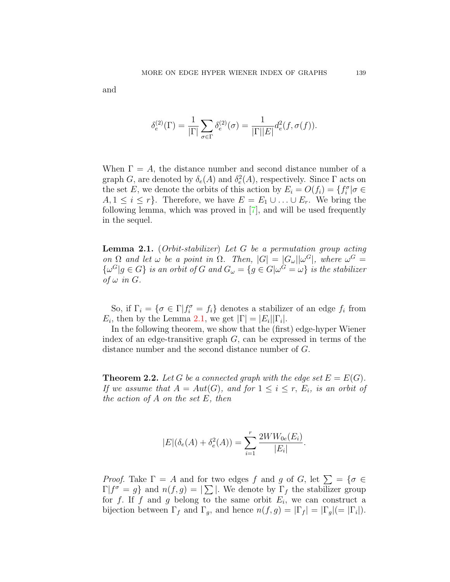$$
\delta_e^{(2)}(\Gamma) = \frac{1}{|\Gamma|} \sum_{\sigma \in \Gamma} \delta_e^{(2)}(\sigma) = \frac{1}{|\Gamma||E|} d_e^{2}(f, \sigma(f)).
$$

When  $\Gamma = A$ , the distance number and second distance number of a graph *G*, are denoted by  $\delta_e(A)$  and  $\delta_e^2(A)$ , respectively. Since  $\Gamma$  acts on the set *E*, we denote the orbits of this action by  $E_i = O(f_i) = \{f_i^{\sigma} | \sigma \in$  $A, 1 \leq i \leq r$ . Therefore, we have  $E = E_1 \cup \ldots \cup E_r$ . We bring the following lemma, which was proved in[[7\]](#page-18-7), and will be used frequently in the sequel.

<span id="page-4-0"></span>**Lemma 2.1.** (*Orbit-stabilizer*) *Let G be a permutation group acting on*  $\Omega$  *and let*  $\omega$  *be a point in*  $\Omega$ *. Then,*  $|G| = |G_{\omega}||\omega^G|$ *, where*  $\omega^G =$  $\{\omega^G | g \in G\}$  is an orbit of G and  $G_{\omega} = \{g \in G | \omega^G = \omega\}$  is the stabilizer  $of \omega$  *in*  $G$ *.* 

So, if  $\Gamma_i = \{ \sigma \in \Gamma | f_i^{\sigma} = f_i \}$  denotes a stabilizer of an edge  $f_i$  from *E*<sub>*i*</sub>, then by the Lemma [2.1,](#page-4-0) we get  $|\Gamma| = |E_i||\Gamma_i|$ .

In the following theorem, we show that the (first) edge-hyper Wiener index of an edge-transitive graph *G*, can be expressed in terms of the distance number and the second distance number of *G*.

**Theorem 2.2.** Let G be a connected graph with the edge set  $E = E(G)$ . *If we assume that*  $A = Aut(G)$ *, and for*  $1 \leq i \leq r$ *, E<sub>i</sub>, is an orbit of the action of A on the set E, then*

$$
|E|(\delta_e(A) + \delta_e^2(A)) = \sum_{i=1}^r \frac{2WW_{0e}(E_i)}{|E_i|}.
$$

*Proof.* Take  $\Gamma = A$  and for two edges *f* and *g* of *G*, let  $\sum = {\sigma \in \mathbb{R}^n}$  $\Gamma | f^{\sigma} = g$  and  $n(f, g) = |\sum |$ . We denote by  $\Gamma_f$  the stabilizer group for *f*. If *f* and *g* belong to the same orbit  $E_i$ , we can construct a bijection between  $\Gamma_f$  and  $\Gamma_g$ , and hence  $n(f, g) = |\Gamma_f| = |\Gamma_g| (|\Gamma_i|).$ 

and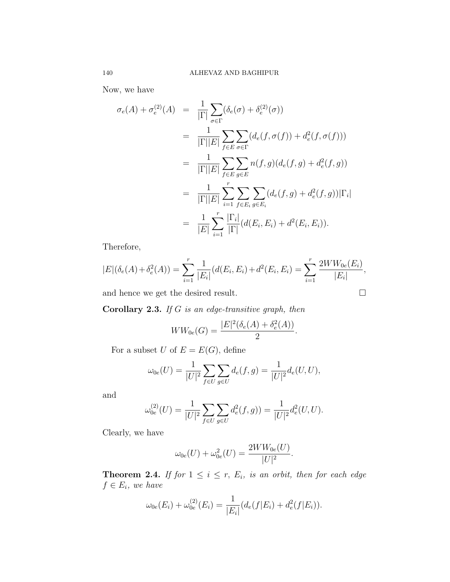Now, we have

$$
\sigma_e(A) + \sigma_e^{(2)}(A) = \frac{1}{|\Gamma|} \sum_{\sigma \in \Gamma} (\delta_e(\sigma) + \delta_e^{(2)}(\sigma))
$$
  
\n
$$
= \frac{1}{|\Gamma||E|} \sum_{f \in E} \sum_{\sigma \in \Gamma} (d_e(f, \sigma(f)) + d_e^{2}(f, \sigma(f)))
$$
  
\n
$$
= \frac{1}{|\Gamma||E|} \sum_{f \in E} \sum_{g \in E} n(f, g)(d_e(f, g) + d_e^{2}(f, g))
$$
  
\n
$$
= \frac{1}{|\Gamma||E|} \sum_{i=1}^r \sum_{f \in E_i} \sum_{g \in E_i} (d_e(f, g) + d_e^{2}(f, g)) |\Gamma_i|
$$
  
\n
$$
= \frac{1}{|E|} \sum_{i=1}^r \frac{|\Gamma_i|}{|\Gamma|} (d(E_i, E_i) + d^2(E_i, E_i)).
$$

Therefore,

$$
|E|(\delta_e(A) + \delta_e^2(A)) = \sum_{i=1}^r \frac{1}{|E_i|} (d(E_i, E_i) + d^2(E_i, E_i) = \sum_{i=1}^r \frac{2WW_{0e}(E_i)}{|E_i|},
$$

and hence we get the desired result.  $\Box$ 

**Corollary 2.3.** *If G is an edge-transitive graph, then*

$$
WW_{0e}(G) = \frac{|E|^2(\delta_e(A) + \delta_e^2(A))}{2}.
$$

For a subset *U* of  $E = E(G)$ , define

$$
\omega_{0e}(U) = \frac{1}{|U|^2} \sum_{f \in U} \sum_{g \in U} d_e(f, g) = \frac{1}{|U|^2} d_e(U, U),
$$

and

$$
\omega_{0e}^{(2)}(U) = \frac{1}{|U|^2} \sum_{f \in U} \sum_{g \in U} d_e^2(f, g) = \frac{1}{|U|^2} d_e^2(U, U).
$$

Clearly, we have

$$
\omega_{0e}(U) + \omega_{0e}^2(U) = \frac{2WW_{0e}(U)}{|U|^2}.
$$

**Theorem 2.4.** If for  $1 \leq i \leq r$ ,  $E_i$ , is an orbit, then for each edge  $f \in E_i$ *, we have* 

$$
\omega_{0e}(E_i) + \omega_{0e}^{(2)}(E_i) = \frac{1}{|E_i|}(d_e(f|E_i) + d_e^{2}(f|E_i)).
$$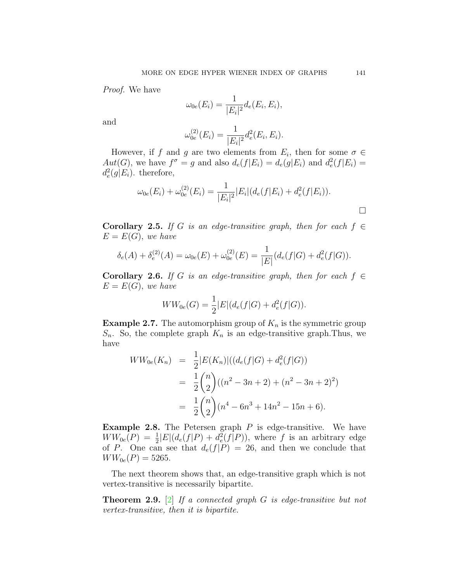*Proof.* We have

$$
\omega_{0e}(E_i) = \frac{1}{|E_i|^2} d_e(E_i, E_i),
$$

and

$$
\omega_{0e}^{(2)}(E_i) = \frac{1}{|E_i|^2} d_e^2(E_i, E_i).
$$

However, if *f* and *g* are two elements from  $E_i$ , then for some  $\sigma \in$  $Aut(G)$ , we have  $f^{\sigma} = g$  and also  $d_e(f|E_i) = d_e(g|E_i)$  and  $d_e^2(f|E_i) =$  $d_e^2(g|E_i)$ . therefore,

$$
\omega_{0e}(E_i) + \omega_{0e}^{(2)}(E_i) = \frac{1}{|E_i|^2} |E_i| (d_e(f|E_i) + d_e^2(f|E_i)).
$$

**Corollary 2.5.** *If G is an edge-transitive graph, then for each*  $f \in$  $E = E(G)$ *, we have* 

$$
\delta_e(A) + \delta_e^{(2)}(A) = \omega_{0e}(E) + \omega_{0e}^{(2)}(E) = \frac{1}{|E|}(d_e(f|G) + d_e^{2}(f|G)).
$$

**Corollary 2.6.** *If G is an edge-transitive graph, then for each*  $f \in$  $E = E(G)$ *, we have* 

$$
WW_{0e}(G) = \frac{1}{2}|E|(d_e(f|G) + d_e^2(f|G)).
$$

**Example 2.7.** The automorphism group of  $K_n$  is the symmetric group  $S_n$ . So, the complete graph  $K_n$  is an edge-transitive graph. Thus, we have

$$
WW_{0e}(K_n) = \frac{1}{2}|E(K_n)|((d_e(f|G) + d_e^2(f|G)))
$$
  
= 
$$
\frac{1}{2}\binom{n}{2}((n^2 - 3n + 2) + (n^2 - 3n + 2)^2)
$$
  
= 
$$
\frac{1}{2}\binom{n}{2}(n^4 - 6n^3 + 14n^2 - 15n + 6).
$$

**Example 2.8.** The Petersen graph *P* is edge-transitive. We have  $WW_{0e}(P) = \frac{1}{2}|E|(d_e(f|P) + d_e^2(f|P))$ , where *f* is an arbitrary edge of *P*. One can see that  $d_e(f|P) = 26$ , and then we conclude that  $WW_{0e}(P) = 5265.$ 

The next theorem shows that, an edge-transitive graph which is not vertex-transitive is necessarily bipartite.

**Theorem 2.9.** [[2\]](#page-17-0) *If a connected graph G is edge-transitive but not vertex-transitive, then it is bipartite.*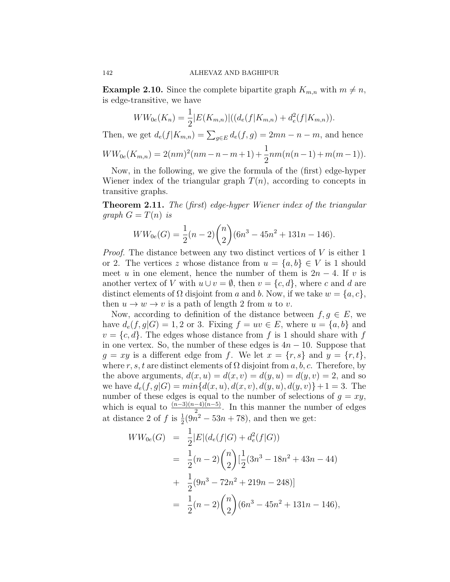**Example 2.10.** Since the complete bipartite graph  $K_{m,n}$  with  $m \neq n$ , is edge-transitive, we have

$$
WW_{0e}(K_n) = \frac{1}{2}|E(K_{m,n})|((d_e(f|K_{m,n}) + d_e^2(f|K_{m,n}))).
$$

Then, we get  $d_e(f|K_{m,n}) = \sum_{g \in E} d_e(f,g) = 2mn - n - m$ , and hence

$$
WW_{0e}(K_{m,n}) = 2(nm)^2(nm-n-m+1) + \frac{1}{2}nm(n(n-1)+m(m-1)).
$$

Now, in the following, we give the formula of the (first) edge-hyper Wiener index of the triangular graph  $T(n)$ , according to concepts in transitive graphs.

**Theorem 2.11.** *The* (*first*) *edge-hyper Wiener index of the triangular graph*  $G = T(n)$  *is* 

$$
WW_{0e}(G) = \frac{1}{2}(n-2)\binom{n}{2}(6n^3 - 45n^2 + 131n - 146).
$$

*Proof.* The distance between any two distinct vertices of *V* is either 1 or 2. The vertices *z* whose distance from  $u = \{a, b\} \in V$  is 1 should meet *u* in one element, hence the number of them is  $2n - 4$ . If *v* is another vertex of *V* with  $u \cup v = \emptyset$ , then  $v = \{c, d\}$ , where *c* and *d* are distinct elements of  $\Omega$  disjoint from *a* and *b*. Now, if we take  $w = \{a, c\}$ , then  $u \to w \to v$  is a path of length 2 from *u* to *v*.

Now, according to definition of the distance between  $f, g \in E$ , we have  $d_e(f, g|G) = 1, 2$  or 3. Fixing  $f = uv \in E$ , where  $u = \{a, b\}$  and  $v = \{c, d\}$ . The edges whose distance from f is 1 should share with f in one vertex. So, the number of these edges is  $4n - 10$ . Suppose that  $g = xy$  is a different edge from f. We let  $x = \{r, s\}$  and  $y = \{r, t\}$ , where *r*, *s*, *t* are distinct elements of  $\Omega$  disjoint from *a*, *b*, *c*. Therefore, by the above arguments,  $d(x, u) = d(x, v) = d(y, u) = d(y, v) = 2$ , and so we have  $d_e(f, g|G) = min{d(x, u), d(x, v), d(y, u), d(y, v)} + 1 = 3$ . The number of these edges is equal to the number of selections of  $g = xy$ , which is equal to  $\frac{(n-3)(n-4)(n-5)}{2}$ . In this manner the number of edges at distance 2 of *f* is  $\frac{1}{2}(9n^2 - 53n + 78)$ , and then we get:

$$
WW_{0e}(G) = \frac{1}{2}|E|(d_e(f|G) + d_e^2(f|G))
$$
  
=  $\frac{1}{2}(n-2)\binom{n}{2}[\frac{1}{2}(3n^3 - 18n^2 + 43n - 44)$   
+  $\frac{1}{2}(9n^3 - 72n^2 + 219n - 248)]$   
=  $\frac{1}{2}(n-2)\binom{n}{2}(6n^3 - 45n^2 + 131n - 146),$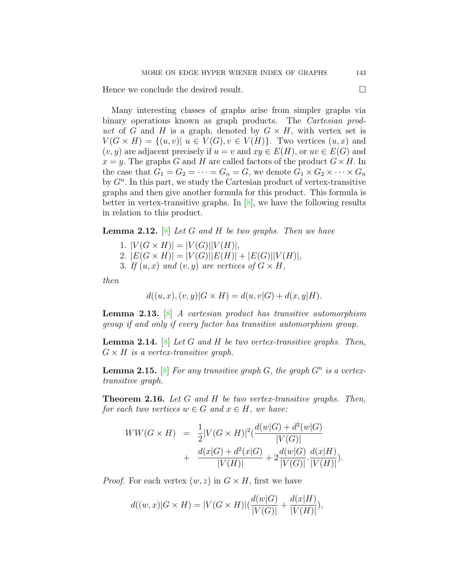Hence we conclude the desired result.  $\Box$ 

Many interesting classes of graphs arise from simpler graphs via binary operations known as graph products. The *Cartesian product* of *G* and *H* is a graph, denoted by  $G \times H$ , with vertex set is  $V(G \times H) = \{(u, v) | u \in V(G), v \in V(H)\}.$  Two vertices  $(u, x)$  and  $(v, y)$  are adjacent precisely if  $u = v$  and  $xy \in E(H)$ , or  $uv \in E(G)$  and  $x = y$ . The graphs *G* and *H* are called factors of the product  $G \times H$ . In the case that  $G_1 = G_2 = \cdots = G_n = G$ , we denote  $G_1 \times G_2 \times \cdots \times G_n$ by  $G<sup>n</sup>$ . In this part, we study the Cartesian product of vertex-transitive graphs and then give another formula for this product. This formula is better in vertex-transitive graphs. In  $\mathcal{S}$ , we have the following results in relation to this product.

**Lemma 2.12.** [\[8\]](#page-18-8) *Let G and H be two graphs. Then we have*

- 1.  $|V(G \times H)| = |V(G)||V(H)|$ ,
- 2.  $|E(G \times H)| = |V(G)||E(H)| + |E(G)||V(H)|$ ,
- 3. If  $(u, x)$  and  $(v, y)$  are vertices of  $G \times H$ ,

*then*

$$
d((u, x), (v, y)|G \times H) = d(u, v|G) + d(x, y|H).
$$

**Lemma 2.13.** [[8\]](#page-18-8) *A cartesian product has transitive automorphism group if and only if every factor has transitive automorphism group.*

<span id="page-8-0"></span>**Lemma 2.14.** [\[8](#page-18-8)] *Let G and H be two vertex-transitive graphs. Then,*  $G \times H$  *is a vertex-transitive graph.* 

**Lemma 2.15.** [\[8](#page-18-8)] *For any transitive graph G, the graph*  $G^n$  *is a vertextransitive graph.*

**Theorem 2.16.** *Let G and H be two vertex-transitive graphs. Then, for each two vertices*  $w \in G$  *and*  $x \in H$ *, we have:* 

$$
WW(G \times H) = \frac{1}{2}|V(G \times H)|^2(\frac{d(w|G) + d^2(w|G)}{|V(G)|} + \frac{d(x|G) + d^2(x|G)}{|V(H)|} + 2\frac{d(w|G)}{|V(G)|} \cdot \frac{d(x|H)}{|V(H)|}).
$$

*Proof.* For each vertex  $(w, z)$  in  $G \times H$ , first we have

$$
d((w,x)|G \times H) = |V(G \times H)|(\frac{d(w|G)}{|V(G)|} + \frac{d(x|H)}{|V(H)|}),
$$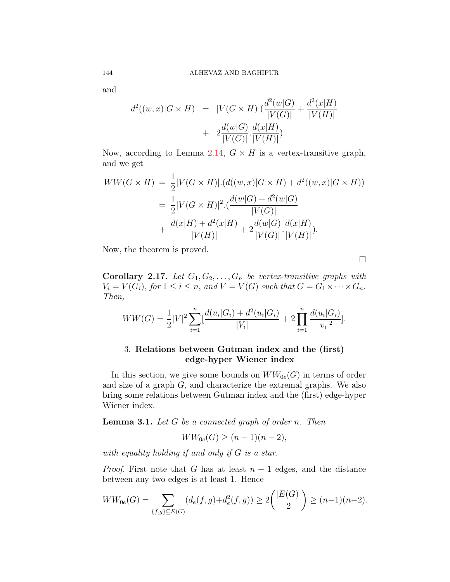and

$$
d^{2}((w,x)|G \times H) = |V(G \times H)| \left(\frac{d^{2}(w|G)}{|V(G)|} + \frac{d^{2}(x|H)}{|V(H)|}\right) + 2\frac{d(w|G)}{|V(G)|} \cdot \frac{d(x|H)}{|V(H)|}).
$$

Now, according to Lemma [2.14,](#page-8-0)  $G \times H$  is a vertex-transitive graph, and we get

$$
WW(G \times H) = \frac{1}{2}|V(G \times H)|.(d((w, x)|G \times H) + d^2((w, x)|G \times H))
$$
  
= 
$$
\frac{1}{2}|V(G \times H)|^2.(\frac{d(w|G) + d^2(w|G)}{|V(G)|}
$$
  
+ 
$$
\frac{d(x|H) + d^2(x|H)}{|V(H)|} + 2\frac{d(w|G)}{|V(G)|} \cdot \frac{d(x|H)}{|V(H)|}).
$$

Now, the theorem is proved.

□

**Corollary 2.17.** Let  $G_1, G_2, \ldots, G_n$  be vertex-transitive graphs with  $V_i = V(G_i)$ , for  $1 \leq i \leq n$ , and  $V = V(G)$  such that  $G = G_1 \times \cdots \times G_n$ . *Then,*

$$
WW(G) = \frac{1}{2}|V|^2 \sum_{i=1}^n \left[\frac{d(u_i|G_i) + d^2(u_i|G_i)}{|V_i|} + 2\prod_{i=1}^n \frac{d(u_i|G_i)}{|v_i|^2}\right].
$$

# 3. **Relations between Gutman index and the (first) edge-hyper Wiener index**

In this section, we give some bounds on  $WW_{0e}(G)$  in terms of order and size of a graph *G*, and characterize the extremal graphs. We also bring some relations between Gutman index and the (first) edge-hyper Wiener index.

**Lemma 3.1.** *Let G be a connected graph of order n. Then*

$$
WW_{0e}(G) \ge (n-1)(n-2),
$$

*with equality holding if and only if G is a star.*

*Proof.* First note that *G* has at least  $n-1$  edges, and the distance between any two edges is at least 1. Hence

$$
WW_{0e}(G) = \sum_{\{f,g\} \subseteq E(G)} (d_e(f,g) + d_e^2(f,g)) \ge 2\binom{|E(G)|}{2} \ge (n-1)(n-2).
$$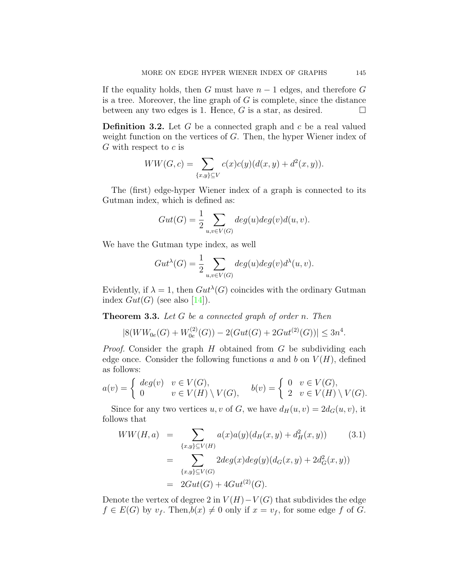If the equality holds, then *G* must have  $n-1$  edges, and therefore *G* is a tree. Moreover, the line graph of *G* is complete, since the distance between any two edges is 1. Hence,  $G$  is a star, as desired.  $\Box$ 

**Definition 3.2.** Let *G* be a connected graph and *c* be a real valued weight function on the vertices of *G*. Then, the hyper Wiener index of *G* with respect to *c* is

$$
WW(G, c) = \sum_{\{x,y\} \subseteq V} c(x)c(y)(d(x, y) + d^{2}(x, y)).
$$

The (first) edge-hyper Wiener index of a graph is connected to its Gutman index, which is defined as:

$$
Gut(G) = \frac{1}{2} \sum_{u,v \in V(G)} deg(u)deg(v)d(u,v).
$$

We have the Gutman type index, as well

$$
Gut^{\lambda}(G) = \frac{1}{2} \sum_{u,v \in V(G)} deg(u)deg(v)d^{\lambda}(u,v).
$$

Evidently, if  $\lambda = 1$ , then  $Gut^{\lambda}(G)$  coincides with the ordinary Gutman index $Gut(G)$  (see also [[14](#page-18-9)]).

**Theorem 3.3.** *Let G be a connected graph of order n. Then*

$$
|8(WW_{0e}(G) + W_{0e}^{(2)}(G)) - 2(Gut(G) + 2Gut^{(2)}(G))| \le 3n^4.
$$

*Proof.* Consider the graph *H* obtained from *G* be subdividing each edge once. Consider the following functions  $a$  and  $b$  on  $V(H)$ , defined as follows:

$$
a(v) = \begin{cases} deg(v) & v \in V(G), \\ 0 & v \in V(H) \setminus V(G), \end{cases} \quad b(v) = \begin{cases} 0 & v \in V(G), \\ 2 & v \in V(H) \setminus V(G). \end{cases}
$$

Since for any two vertices *u, v* of *G*, we have  $d_H(u, v) = 2d_G(u, v)$ , it follows that

$$
WW(H, a) = \sum_{\{x,y\} \subseteq V(H)} a(x)a(y)(d_H(x, y) + d_H^2(x, y))
$$
(3.1)  

$$
= \sum_{\{x,y\} \subseteq V(G)} 2deg(x)deg(y)(d_G(x, y) + 2d_G^2(x, y))
$$
  

$$
= 2Gut(G) + 4Gut^{(2)}(G).
$$

Denote the vertex of degree 2 in  $V(H) - V(G)$  that subdivides the edge  $f \in E(G)$  by  $v_f$ . Then, $b(x) \neq 0$  only if  $x = v_f$ , for some edge  $f$  of  $G$ .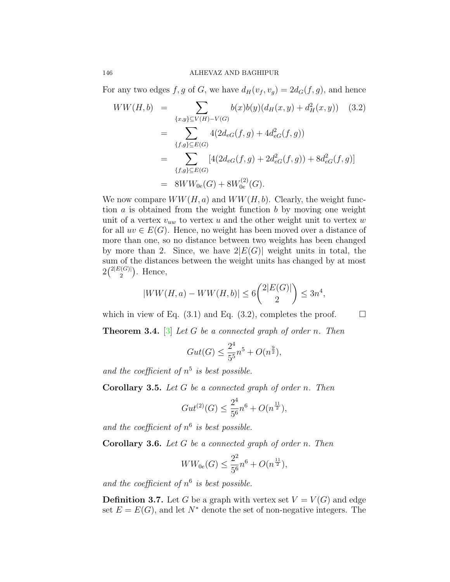For any two edges  $f, g$  of  $G$ , we have  $d_H(v_f, v_g) = 2d_G(f, g)$ , and hence

$$
WW(H, b) = \sum_{\{x,y\} \subseteq V(H) - V(G)} b(x)b(y)(d_H(x, y) + d_H^2(x, y))
$$
(3.2)  

$$
= \sum_{\{f,g\} \subseteq E(G)} 4(2d_{eG}(f, g) + 4d_{eG}^2(f, g))
$$
  

$$
= \sum_{\{f,g\} \subseteq E(G)} [4(2d_{eG}(f, g) + 2d_{eG}^2(f, g)) + 8d_{eG}^2(f, g)]
$$
  

$$
= 8WW_{0e}(G) + 8W_{0e}^{(2)}(G).
$$

We now compare  $WW(H, a)$  and  $WW(H, b)$ . Clearly, the weight function *a* is obtained from the weight function *b* by moving one weight unit of a vertex *vuw* to vertex *u* and the other weight unit to vertex *w* for all  $uv \in E(G)$ . Hence, no weight has been moved over a distance of more than one, so no distance between two weights has been changed by more than 2. Since, we have  $2|E(G)|$  weight units in total, the sum of the distances between the weight units has changed by at most  $2\binom{2|E(G)|}{2}$  $\binom{C(G)}{2}$ . Hence,

$$
|WW(H, a) - WW(H, b)| \le 6\binom{2|E(G)|}{2} \le 3n^4,
$$

which in view of Eq.  $(3.1)$  and Eq.  $(3.2)$ , completes the proof.  $\Box$ 

**Theorem 3.4.** [[3\]](#page-17-2) *Let G be a connected graph of order n. Then*

$$
Gut(G) \le \frac{2^4}{5^5}n^5 + O(n^{\frac{9}{2}}),
$$

and the coefficient of  $n^5$  is best possible.

**Corollary 3.5.** *Let G be a connected graph of order n. Then*

$$
Gut^{(2)}(G) \le \frac{2^4}{5^6}n^6 + O(n^{\frac{11}{2}}),
$$

and the coefficient of  $n^6$  is best possible.

**Corollary 3.6.** *Let G be a connected graph of order n. Then*

$$
WW_{0e}(G) \le \frac{2^2}{5^6}n^6 + O(n^{\frac{11}{2}}),
$$

*and the coefficient of n* 6 *is best possible.*

**Definition 3.7.** Let *G* be a graph with vertex set  $V = V(G)$  and edge set  $E = E(G)$ , and let  $N^*$  denote the set of non-negative integers. The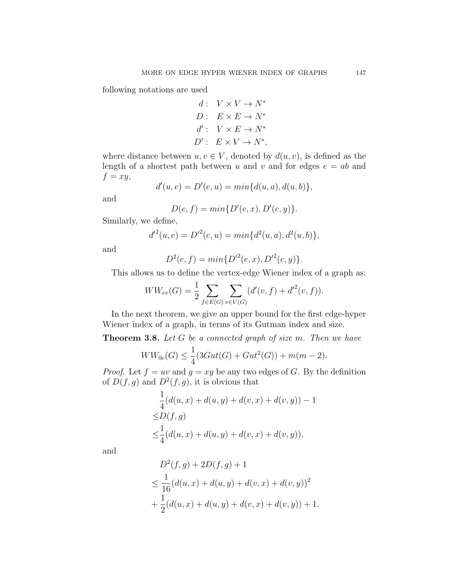following notations are used

$$
d: V \times V \to N^*
$$
  

$$
D: E \times E \to N^*
$$
  

$$
d': V \times E \to N^*
$$
  

$$
D': E \times V \to N^*,
$$

where distance between  $u, v \in V$ , denoted by  $d(u, v)$ , is defined as the length of a shortest path between *u* and *v* and for edges  $e = ab$  and  $f = xy$ ,

$$
d'(u, e) = D'(e, u) = min{d(u, a), d(u, b)},
$$

and

$$
D(e,f) = min\{D'(e,x), D'(e,y)\}.
$$

Similarly, we define,

$$
d'^{2}(u, e) = D'^{2}(e, u) = min{d^{2}(u, a), d^{2}(u, b)},
$$

and

$$
D^{2}(e, f) = min\{D'^{2}(e, x), D'^{2}(e, y)\}.
$$

This allows us to define the vertex-edge Wiener index of a graph as:

$$
WW_{ev}(G) = \frac{1}{2} \sum_{f \in E(G)} \sum_{v \in V(G)} (d'(v, f) + d'^{2}(v, f)).
$$

In the next theorem, we give an upper bound for the first edge-hyper Wiener index of a graph, in terms of its Gutman index and size.

**Theorem 3.8.** *Let G be a connected graph of size m. Then we have*

$$
WW_{0e}(G) \leq \frac{1}{4}(3Gut(G) + Gut^{2}(G)) + m(m-2).
$$

*Proof.* Let  $f = uv$  and  $g = xy$  be any two edges of *G*. By the definition of  $D(f, g)$  and  $D^2(f, g)$ , it is obvious that

$$
\frac{1}{4}(d(u, x) + d(u, y) + d(v, x) + d(v, y)) - 1
$$
  
\n
$$
\leq D(f, g)
$$
  
\n
$$
\leq \frac{1}{4}(d(u, x) + d(u, y) + d(v, x) + d(v, y)),
$$

and

$$
D^{2}(f,g) + 2D(f,g) + 1
$$
  
\n
$$
\leq \frac{1}{16}(d(u,x) + d(u,y) + d(v,x) + d(v,y))^{2}
$$
  
\n
$$
+ \frac{1}{2}(d(u,x) + d(u,y) + d(v,x) + d(v,y)) + 1.
$$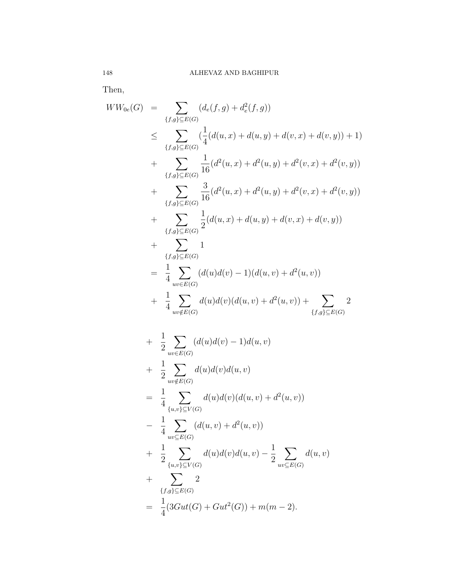Then,

$$
WW_{0e}(G) = \sum_{\{f,g\} \subseteq E(G)} (d_e(f,g) + d_e^2(f,g))
$$
  
\n
$$
\leq \sum_{\{f,g\} \subseteq E(G)} (\frac{1}{4}(d(u,x) + d(u,y) + d(v,x) + d(v,y)) + 1)
$$
  
\n
$$
+ \sum_{\{f,g\} \subseteq E(G)} \frac{1}{16}(d^2(u,x) + d^2(u,y) + d^2(v,x) + d^2(v,y))
$$
  
\n
$$
+ \sum_{\{f,g\} \subseteq E(G)} \frac{3}{16}(d^2(u,x) + d^2(u,y) + d^2(v,x) + d^2(v,y))
$$
  
\n
$$
+ \sum_{\{f,g\} \subseteq E(G)} \frac{1}{2}(d(u,x) + d(u,y) + d(v,x) + d(v,y))
$$
  
\n
$$
+ \sum_{\{f,g\} \subseteq E(G)} 1
$$
  
\n
$$
= \frac{1}{4} \sum_{uv \in E(G)} (d(u)d(v) - 1)(d(u,v) + d^2(u,v))
$$
  
\n
$$
+ \frac{1}{4} \sum_{uv \notin E(G)} d(u)d(v)(d(u,v) + d^2(u,v)) + \sum_{\{f,g\} \subseteq E(G)} 2
$$
  
\n
$$
+ \frac{1}{2} \sum_{uv \notin E(G)} (d(u)d(v) - 1)d(u,v)
$$
  
\n
$$
+ \frac{1}{2} \sum_{uv \in E(G)} (d(u)d(v)d(u,v))
$$
  
\n
$$
= \frac{1}{4} \sum_{\{u,v\} \subseteq V(G)} d(u)d(v)(d(u,v) + d^2(u,v))
$$
  
\n
$$
+ \frac{1}{2} \sum_{\{u,v\} \subseteq V(G)} d(u)d(v)d(u,v) - \frac{1}{2} \sum_{uv \subseteq E(G)} d(u,v)
$$
  
\n
$$
+ \sum_{\{f,g\} \subseteq E(G)} 2
$$
  
\n
$$
= \frac{1}{4} (3Gut(G) + Gut^2(G)) + m(m - 2).
$$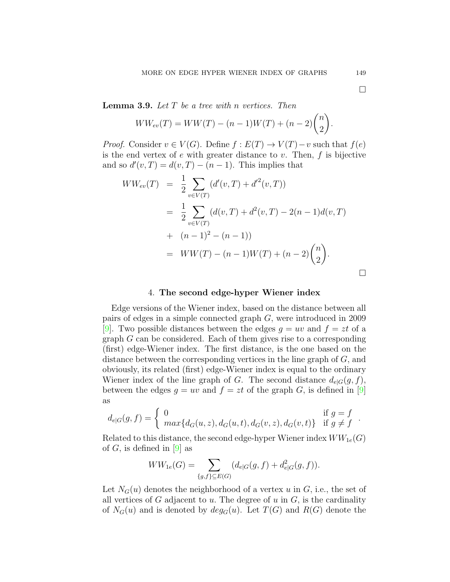**Lemma 3.9.** *Let T be a tree with n vertices. Then*

$$
WW_{ev}(T) = WW(T) - (n-1)W(T) + (n-2)\binom{n}{2}.
$$

*Proof.* Consider  $v \in V(G)$ . Define  $f : E(T) \to V(T) - v$  such that  $f(e)$ is the end vertex of *e* with greater distance to *v*. Then, *f* is bijective and so  $d'(v,T) = d(v,T) - (n-1)$ . This implies that

$$
WW_{ev}(T) = \frac{1}{2} \sum_{v \in V(T)} (d'(v, T) + d'^2(v, T))
$$
  
= 
$$
\frac{1}{2} \sum_{v \in V(T)} (d(v, T) + d^2(v, T) - 2(n - 1)d(v, T))
$$
  
+ 
$$
(n - 1)^2 - (n - 1))
$$
  
= 
$$
WW(T) - (n - 1)W(T) + (n - 2)\binom{n}{2}.
$$

#### 4. **The second edge-hyper Wiener index**

Edge versions of the Wiener index, based on the distance between all pairs of edges in a simple connected graph *G,* were introduced in 2009 [[9\]](#page-18-3). Two possible distances between the edges  $q = uv$  and  $f = zt$  of a graph *G* can be considered. Each of them gives rise to a corresponding (first) edge-Wiener index. The first distance, is the one based on the distance between the corresponding vertices in the line graph of *G*, and obviously, its related (first) edge-Wiener index is equal to the ordinary Wiener index of the line graph of *G*. The second distance  $d_{e|G}(g, f)$ , between the edges  $g = uv$  and  $f = zt$  of the graph *G*, is defined in [\[9\]](#page-18-3) as

$$
d_{e|G}(g, f) = \begin{cases} 0 & \text{if } g = f \\ max\{d_G(u, z), d_G(u, t), d_G(v, z), d_G(v, t)\} & \text{if } g \neq f \end{cases}.
$$

Related to this distance, the second edge-hyper Wiener index  $WW_{1e}(G)$ of  $G$ , is defined in  $[9]$  as

$$
WW_{1e}(G) = \sum_{\{g,f\} \subseteq E(G)} (d_{e|G}(g, f) + d_{e|G}^2(g, f)).
$$

Let  $N_G(u)$  denotes the neighborhood of a vertex  $u$  in  $G$ , i.e., the set of all vertices of *G* adjacent to *u.* The degree of *u* in *G*, is the cardinality of  $N_G(u)$  and is denoted by  $deg_G(u)$ . Let  $T(G)$  and  $R(G)$  denote the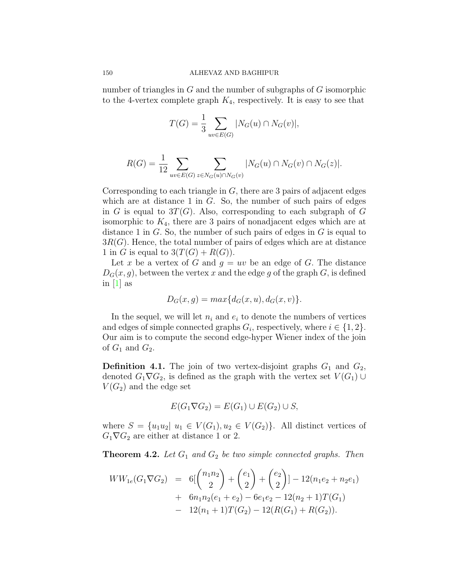number of triangles in *G* and the number of subgraphs of *G* isomorphic to the 4-vertex complete graph  $K_4$ , respectively. It is easy to see that

$$
T(G) = \frac{1}{3} \sum_{uv \in E(G)} |N_G(u) \cap N_G(v)|,
$$

$$
R(G) = \frac{1}{12} \sum_{uv \in E(G)} \sum_{z \in N_G(u) \cap N_G(v)} |N_G(u) \cap N_G(v) \cap N_G(z)|.
$$

Corresponding to each triangle in *G,* there are 3 pairs of adjacent edges which are at distance 1 in *G*. So, the number of such pairs of edges in *G* is equal to  $3T(G)$ . Also, corresponding to each subgraph of *G* isomorphic to *K*4, there are 3 pairs of nonadjacent edges which are at distance 1 in *G.* So, the number of such pairs of edges in *G* is equal to 3*R*(*G*)*.* Hence, the total number of pairs of edges which are at distance 1 in *G* is equal to  $3(T(G) + R(G))$ .

Let x be a vertex of G and  $q = uv$  be an edge of G. The distance  $D_G(x, q)$ , between the vertex *x* and the edge *g* of the graph *G*, is defined in  $[1]$  as

$$
D_G(x,g) = max{d_G(x,u), d_G(x,v)}.
$$

In the sequel, we will let  $n_i$  and  $e_i$  to denote the numbers of vertices and edges of simple connected graphs  $G_i$ , respectively, where  $i \in \{1, 2\}$ . Our aim is to compute the second edge-hyper Wiener index of the join of  $G_1$  and  $G_2$ .

**Definition 4.1.** The join of two vertex-disjoint graphs  $G_1$  and  $G_2$ , denoted  $G_1 \nabla G_2$ , is defined as the graph with the vertex set  $V(G_1) \cup$  $V(G_2)$  and the edge set

$$
E(G_1 \nabla G_2) = E(G_1) \cup E(G_2) \cup S,
$$

where  $S = \{u_1u_2 | u_1 \in V(G_1), u_2 \in V(G_2)\}\$ . All distinct vertices of  $G_1 \nabla G_2$  are either at distance 1 or 2.

**Theorem 4.2.** *Let G*<sup>1</sup> *and G*<sup>2</sup> *be two simple connected graphs. Then*

$$
WW_{1e}(G_1 \nabla G_2) = 6\left[\binom{n_1 n_2}{2} + \binom{e_1}{2} + \binom{e_2}{2}\right] - 12(n_1 e_2 + n_2 e_1)
$$
  
+ 
$$
6n_1 n_2(e_1 + e_2) - 6e_1 e_2 - 12(n_2 + 1)T(G_1)
$$
  
- 
$$
12(n_1 + 1)T(G_2) - 12(R(G_1) + R(G_2)).
$$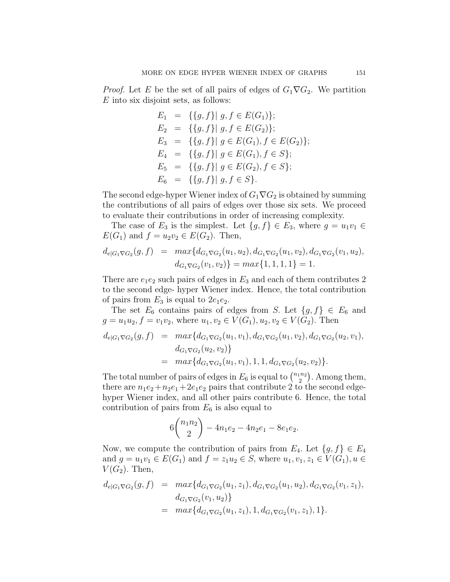*Proof.* Let *E* be the set of all pairs of edges of  $G_1 \nabla G_2$ . We partition *E* into six disjoint sets, as follows:

$$
E_1 = \{ \{g, f\} | g, f \in E(G_1) \};
$$
  
\n
$$
E_2 = \{ \{g, f\} | g, f \in E(G_2) \};
$$
  
\n
$$
E_3 = \{ \{g, f\} | g \in E(G_1), f \in E(G_2) \};
$$
  
\n
$$
E_4 = \{ \{g, f\} | g \in E(G_1), f \in S \};
$$
  
\n
$$
E_5 = \{ \{g, f\} | g \in E(G_2), f \in S \};
$$
  
\n
$$
E_6 = \{ \{g, f\} | g, f \in S \}.
$$

The second edge-hyper Wiener index of *G*1*∇G*<sup>2</sup> is obtained by summing the contributions of all pairs of edges over those six sets. We proceed to evaluate their contributions in order of increasing complexity.

The case of  $E_3$  is the simplest. Let  $\{g, f\} \in E_3$ , where  $g = u_1v_1 \in$  $E(G_1)$  and  $f = u_2v_2 \in E(G_2)$ . Then,

$$
d_{e|G_1 \nabla G_2}(g, f) = \max\{d_{G_1 \nabla G_2}(u_1, u_2), d_{G_1 \nabla G_2}(u_1, v_2), d_{G_1 \nabla G_2}(v_1, u_2), d_{G_1 \nabla G_2}(v_1, u_2), d_{G_1 \nabla G_2}(v_1, v_2)\} = \max\{1, 1, 1, 1\} = 1.
$$

There are  $e_1e_2$  such pairs of edges in  $E_3$  and each of them contributes 2 to the second edge- hyper Wiener index. Hence, the total contribution of pairs from  $E_3$  is equal to  $2e_1e_2$ .

The set  $E_6$  contains pairs of edges from *S*. Let  $\{g, f\} \in E_6$  and  $g = u_1 u_2, f = v_1 v_2$ , where  $u_1, v_2 \in V(G_1), u_2, v_2 \in V(G_2)$ . Then  $d_{e|G_1 \nabla G_2}(g, f) = max{d_{G_1 \nabla G_2}(u_1, v_1), d_{G_1 \nabla G_2}(u_1, v_2), d_{G_1 \nabla G_2}(u_2, v_1)},$  $d_{G_1\nabla G_2}(u_2, v_2)$  $= \max\{d_{G_1\nabla G_2}(u_1, v_1), 1, 1, d_{G_1\nabla G_2}(u_2, v_2)\}.$ 

The total number of pairs of edges in  $E_6$  is equal to  $\binom{n_1 n_2}{2}$  $\binom{n_2}{2}$ . Among them, there are  $n_1e_2+n_2e_1+2e_1e_2$  pairs that contribute 2 to the second edgehyper Wiener index, and all other pairs contribute 6. Hence, the total contribution of pairs from  $E_6$  is also equal to

$$
6\binom{n_1n_2}{2} - 4n_1e_2 - 4n_2e_1 - 8e_1e_2.
$$

Now, we compute the contribution of pairs from  $E_4$ . Let  $\{g, f\} \in E_4$ and  $g = u_1v_1 \in E(G_1)$  and  $f = z_1u_2 \in S$ , where  $u_1, v_1, z_1 \in V(G_1), u \in S$  $V(G_2)$ . Then,

$$
d_{e|G_1 \nabla G_2}(g, f) = \max\{d_{G_1 \nabla G_2}(u_1, z_1), d_{G_1 \nabla G_2}(u_1, u_2), d_{G_1 \nabla G_2}(v_1, z_1),
$$
  
\n
$$
d_{G_1 \nabla G_2}(v_1, u_2)\}
$$
  
\n
$$
= \max\{d_{G_1 \nabla G_2}(u_1, z_1), 1, d_{G_1 \nabla G_2}(v_1, z_1), 1\}.
$$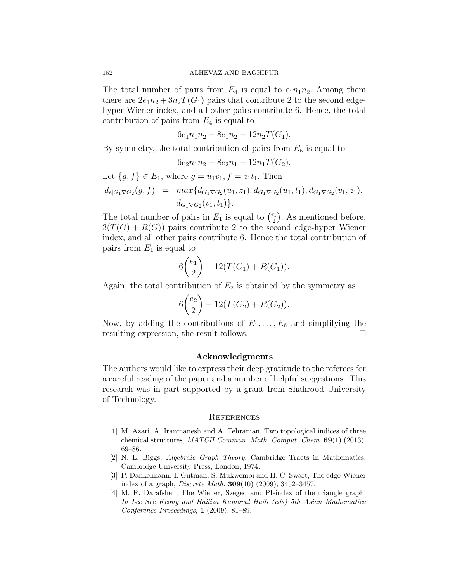The total number of pairs from  $E_4$  is equal to  $e_1 n_1 n_2$ . Among them there are  $2e_1n_2 + 3n_2T(G_1)$  pairs that contribute 2 to the second edgehyper Wiener index, and all other pairs contribute 6. Hence, the total contribution of pairs from *E*<sup>4</sup> is equal to

$$
6e_1n_1n_2 - 8e_1n_2 - 12n_2T(G_1).
$$

By symmetry, the total contribution of pairs from  $E_5$  is equal to

$$
6e_2n_1n_2 - 8e_2n_1 - 12n_1T(G_2).
$$

Let  ${g, f} \in E_1$ , where  $g = u_1v_1, f = z_1t_1$ . Then  $d_{e|G_1 \nabla G_2}(g, f) = max{d_{G_1 \nabla G_2}(u_1, z_1), d_{G_1 \nabla G_2}(u_1, t_1), d_{G_1 \nabla G_2}(v_1, z_1)},$  $d_{G_1 \nabla G_2}(v_1, t_1)$ .

The total number of pairs in  $E_1$  is equal to  $\binom{e_1}{2}$  $\binom{p_1}{2}$ . As mentioned before,  $3(T(G) + R(G))$  pairs contribute 2 to the second edge-hyper Wiener index, and all other pairs contribute 6. Hence the total contribution of pairs from *E*<sup>1</sup> is equal to

$$
6\binom{e_1}{2} - 12(T(G_1) + R(G_1)).
$$

Again, the total contribution of  $E_2$  is obtained by the symmetry as

$$
6\binom{e_2}{2} - 12(T(G_2) + R(G_2)).
$$

Now, by adding the contributions of  $E_1, \ldots, E_6$  and simplifying the resulting expression, the result follows. □

#### **Acknowledgments**

The authors would like to express their deep gratitude to the referees for a careful reading of the paper and a number of helpful suggestions. This research was in part supported by a grant from Shahrood University of Technology.

### **REFERENCES**

- <span id="page-17-3"></span>[1] M. Azari, A. Iranmanesh and A. Tehranian, Two topological indices of three chemical structures, *MATCH Commun. Math. Comput. Chem.* **69**(1) (2013), 69–86.
- <span id="page-17-0"></span>[2] N. L. Biggs, *Algebraic Graph Theory*, Cambridge Tracts in Mathematics, Cambridge University Press, London, 1974.
- <span id="page-17-2"></span>[3] P. Dankelmann, I. Gutman, S. Mukwembi and H. C. Swart, The edge-Wiener index of a graph, *Discrete Math.* **309**(10) (2009), 3452–3457.
- <span id="page-17-1"></span>[4] M. R. Darafsheh, The Wiener, Szeged and PI-index of the triangle graph, *In Lee See Keong and Hailiza Kamarul Haili (eds) 5th Asian Mathematica Conference Proceedings*, **1** (2009), 81–89.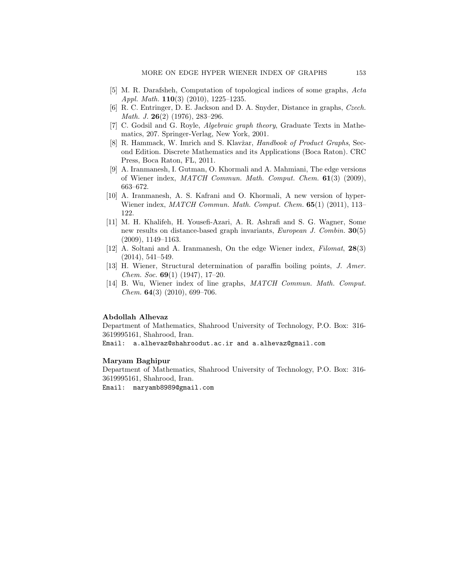- <span id="page-18-5"></span>[5] M. R. Darafsheh, Computation of topological indices of some graphs, *Acta Appl. Math.* **110**(3) (2010), 1225–1235.
- <span id="page-18-2"></span>[6] R. C. Entringer, D. E. Jackson and D. A. Snyder, Distance in graphs, *Czech. Math. J.* **26**(2) (1976), 283–296.
- <span id="page-18-7"></span>[7] C. Godsil and G. Royle, *Algebraic graph theory*, Graduate Texts in Mathematics, 207. Springer-Verlag, New York, 2001.
- <span id="page-18-8"></span>[8] R. Hammack, W. Imrich and S. Klavžar, *Handbook of Product Graphs*, Second Edition. Discrete Mathematics and its Applications (Boca Raton). CRC Press, Boca Raton, FL, 2011.
- <span id="page-18-3"></span>[9] A. Iranmanesh, I. Gutman, O. Khormali and A. Mahmiani, The edge versions of Wiener index, *MATCH Commun. Math. Comput. Chem.* **61**(3) (2009), 663–672.
- <span id="page-18-4"></span>[10] A. Iranmanesh, A. S. Kafrani and O. Khormali, A new version of hyper-Wiener index, *MATCH Commun. Math. Comput. Chem.* **65**(1) (2011), 113– 122.
- <span id="page-18-1"></span>[11] M. H. Khalifeh, H. Yousefi-Azari, A. R. Ashrafi and S. G. Wagner, Some new results on distance-based graph invariants, *European J. Combin.* **30**(5) (2009), 1149–1163.
- <span id="page-18-6"></span>[12] A. Soltani and A. Iranmanesh, On the edge Wiener index, *Filomat*, **28**(3) (2014), 541–549.
- <span id="page-18-0"></span>[13] H. Wiener, Structural determination of paraffin boiling points, *J. Amer. Chem. Soc.* **69**(1) (1947), 17–20.
- <span id="page-18-9"></span>[14] B. Wu, Wiener index of line graphs, *MATCH Commun. Math. Comput. Chem.* **64**(3) (2010), 699–706.

#### **Abdollah Alhevaz**

Department of Mathematics, Shahrood University of Technology, P.O. Box: 316- 3619995161, Shahrood, Iran.

Email: a.alhevaz@shahroodut.ac.ir and a.alhevaz@gmail.com

#### **Maryam Baghipur**

Department of Mathematics, Shahrood University of Technology, P.O. Box: 316- 3619995161, Shahrood, Iran.

Email: maryamb8989@gmail.com